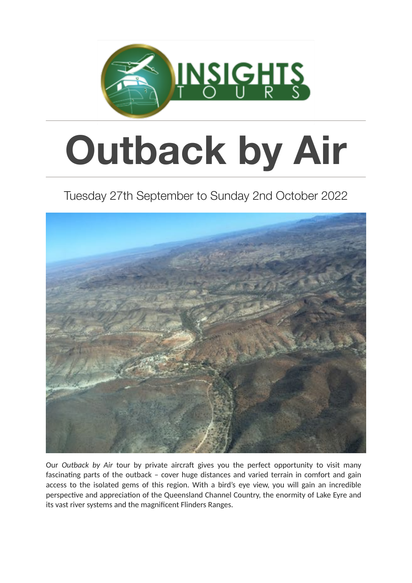

# **Outback by Air**

## Tuesday 27th September to Sunday 2nd October 2022



Our *Outback by Air* tour by private aircraft gives you the perfect opportunity to visit many fascinating parts of the outback - cover huge distances and varied terrain in comfort and gain access to the isolated gems of this region. With a bird's eye view, you will gain an incredible perspective and appreciation of the Queensland Channel Country, the enormity of Lake Eyre and its vast river systems and the magnificent Flinders Ranges.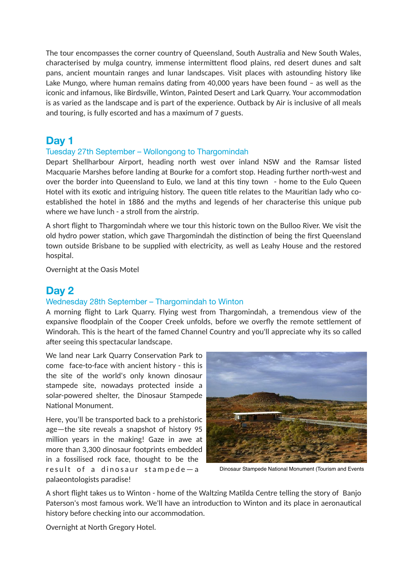The tour encompasses the corner country of Queensland, South Australia and New South Wales, characterised by mulga country, immense intermittent flood plains, red desert dunes and salt pans, ancient mountain ranges and lunar landscapes. Visit places with astounding history like Lake Mungo, where human remains dating from  $40,000$  years have been found  $-$  as well as the iconic and infamous, like Birdsville, Winton, Painted Desert and Lark Quarry. Your accommodation is as varied as the landscape and is part of the experience. Outback by Air is inclusive of all meals and touring, is fully escorted and has a maximum of 7 guests.

## **Day 1**

#### Tuesday 27th September – Wollongong to Thargomindah

Depart Shellharbour Airport, heading north west over inland NSW and the Ramsar listed Macquarie Marshes before landing at Bourke for a comfort stop. Heading further north-west and over the border into Queensland to Eulo, we land at this tiny town - home to the Eulo Queen Hotel with its exotic and intriguing history. The queen title relates to the Mauritian lady who coestablished the hotel in 1886 and the myths and legends of her characterise this unique pub where we have lunch - a stroll from the airstrip.

A short flight to Thargomindah where we tour this historic town on the Bulloo River. We visit the old hydro power station, which gave Thargomindah the distinction of being the first Queensland town outside Brisbane to be supplied with electricity, as well as Leahy House and the restored hospital.

Overnight at the Oasis Motel

## **Day 2**

#### Wednesday 28th September – Thargomindah to Winton

A morning flight to Lark Quarry. Flying west from Thargomindah, a tremendous view of the expansive floodplain of the Cooper Creek unfolds, before we overfly the remote settlement of Windorah. This is the heart of the famed Channel Country and you'll appreciate why its so called after seeing this spectacular landscape.

We land near Lark Quarry Conservation Park to come face-to-face with ancient history - this is the site of the world's only known dinosaur stampede site, nowadays protected inside a solar-powered shelter, the Dinosaur Stampede National Monument

Here, you'll be transported back to a prehistoric age—the site reveals a snapshot of history 95 million years in the making! Gaze in awe at more than 3,300 dinosaur footprints embedded in a fossilised rock face, thought to be the result of a dinosaur stampede-a palaeontologists paradise!



Dinosaur Stampede National Monument (Tourism and Events

A short flight takes us to Winton - home of the Waltzing Matilda Centre telling the story of Banjo Paterson's most famous work. We'll have an introduction to Winton and its place in aeronautical history before checking into our accommodation.

Overnight at North Gregory Hotel.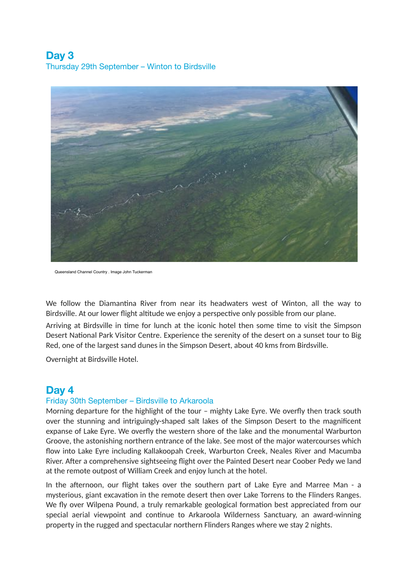## **Day 3**  Thursday 29th September – Winton to Birdsville



Queensland Channel Country . Image John Tuckerman

We follow the Diamantina River from near its headwaters west of Winton, all the way to Birdsville. At our lower flight altitude we enjoy a perspective only possible from our plane.

Arriving at Birdsville in time for lunch at the iconic hotel then some time to visit the Simpson Desert National Park Visitor Centre. Experience the serenity of the desert on a sunset tour to Big Red, one of the largest sand dunes in the Simpson Desert, about 40 kms from Birdsville.

Overnight at Birdsville Hotel.

### **Day 4**

#### Friday 30th September – Birdsville to Arkaroola

Morning departure for the highlight of the tour – mighty Lake Eyre. We overfly then track south over the stunning and intriguingly-shaped salt lakes of the Simpson Desert to the magnificent expanse of Lake Eyre. We overfly the western shore of the lake and the monumental Warburton Groove, the astonishing northern entrance of the lake. See most of the major watercourses which flow into Lake Eyre including Kallakoopah Creek, Warburton Creek, Neales River and Macumba River. After a comprehensive sightseeing flight over the Painted Desert near Coober Pedy we land at the remote outpost of William Creek and enjoy lunch at the hotel.

In the afternoon, our flight takes over the southern part of Lake Eyre and Marree Man - a mysterious, giant excavation in the remote desert then over Lake Torrens to the Flinders Ranges. We fly over Wilpena Pound, a truly remarkable geological formation best appreciated from our special aerial viewpoint and continue to Arkaroola Wilderness Sanctuary, an award-winning property in the rugged and spectacular northern Flinders Ranges where we stay 2 nights.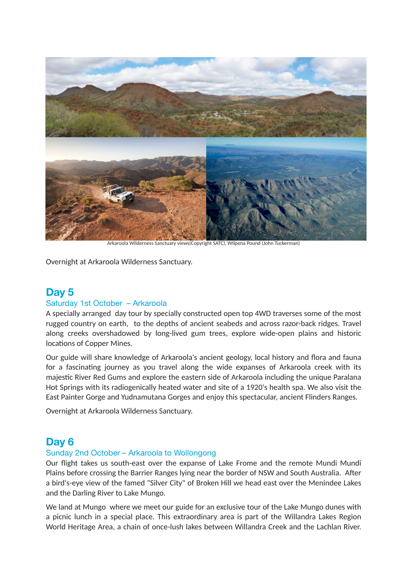

Arkaroola Wilderness Sanctuary views(Copyright SATC), WIlpena Pound (John Tuckerman)

Overnight at Arkaroola Wilderness Sanctuary.

## **Day 5**  Saturday 1st October – Arkaroola

A specially arranged day tour by specially constructed open top 4WD traverses some of the most rugged country on earth, to the depths of ancient seabeds and across razor-back ridges. Travel along creeks overshadowed by long-lived gum trees, explore wide-open plains and historic locations of Copper Mines.

Our guide will share knowledge of Arkaroola's ancient geology, local history and flora and fauna for a fascinating journey as you travel along the wide expanses of Arkaroola creek with its majes6c River Red Gums and explore the eastern side of Arkaroola including the unique Paralana Hot Springs with its radiogenically heated water and site of a 1920's health spa. We also visit the East Painter Gorge and Yudnamutana Gorges and enjoy this spectacular, ancient Flinders Ranges.

Overnight at Arkaroola Wilderness Sanctuary.

## **Day 6**

#### Sunday 2nd October – Arkaroola to Wollongong

Our flight takes us south-east over the expanse of Lake Frome and the remote Mundi Mundi Plains before crossing the Barrier Ranges lying near the border of NSW and South Australia. After a bird's-eye view of the famed "Silver City" of Broken Hill we head east over the Menindee Lakes and the Darling River to Lake Mungo.

We land at Mungo where we meet our guide for an exclusive tour of the Lake Mungo dunes with a picnic lunch in a special place. This extraordinary area is part of the Willandra Lakes Region World Heritage Area, a chain of once-lush lakes between Willandra Creek and the Lachlan River.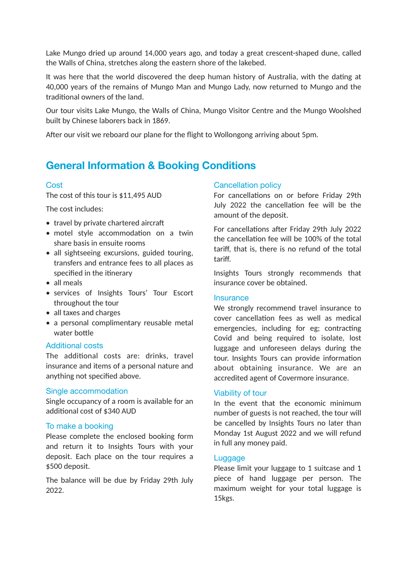Lake Mungo dried up around 14,000 years ago, and today a great crescent-shaped dune, called the Walls of China, stretches along the eastern shore of the lakebed.

It was here that the world discovered the deep human history of Australia, with the dating at 40,000 years of the remains of Mungo Man and Mungo Lady, now returned to Mungo and the traditional owners of the land.

Our tour visits Lake Mungo, the Walls of China, Mungo Visitor Centre and the Mungo Woolshed built by Chinese laborers back in 1869.

After our visit we reboard our plane for the flight to Wollongong arriving about 5pm.

## **General Information & Booking Conditions**

#### **Cost**

The cost of this tour is \$11,495 AUD

The cost includes:

- $\bullet$  travel by private chartered aircraft
- $\bullet$  motel style accommodation on a twin share basis in ensuite rooms
- all sightseeing excursions, guided touring, transfers and entrance fees to all places as specified in the itinerary
- all meals
- services of Insights Tours' Tour Escort throughout the tour
- all taxes and charges
- a personal complimentary reusable metal water bottle

#### Additional costs

The additional costs are: drinks, travel insurance and items of a personal nature and anything not specified above.

#### Single accommodation

Single occupancy of a room is available for an additional cost of \$340 AUD

#### To make a booking

Please complete the enclosed booking form and return it to Insights Tours with your deposit. Each place on the tour requires a \$500 deposit.

The balance will be due by Friday 29th July 2022.

#### Cancellation policy

For cancellations on or before Friday 29th July 2022 the cancellation fee will be the amount of the deposit.

For cancellations after Friday 29th July 2022 the cancellation fee will be 100% of the total tariff, that is, there is no refund of the total tariff.

Insights Tours strongly recommends that insurance cover be obtained.

#### **Insurance**

We strongly recommend travel insurance to cover cancellation fees as well as medical emergencies, including for eg; contracting Covid and being required to isolate, lost luggage and unforeseen delays during the tour. Insights Tours can provide information about obtaining insurance. We are an accredited agent of Covermore insurance.

#### Viability of tour

In the event that the economic minimum number of guests is not reached, the tour will be cancelled by Insights Tours no later than Monday 1st August 2022 and we will refund in full any money paid.

#### **Luggage**

Please limit your luggage to 1 suitcase and 1 piece of hand luggage per person. The maximum weight for your total luggage is 15kgs.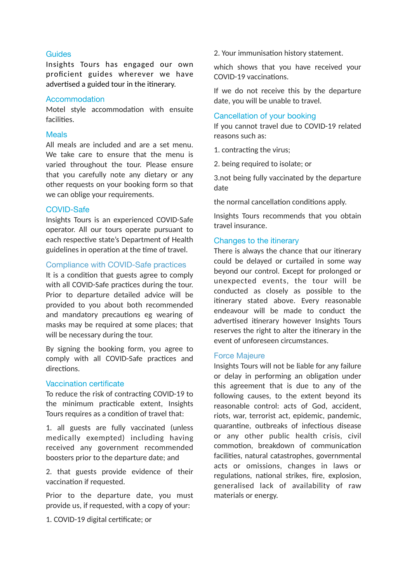#### **Guides**

Insights Tours has engaged our own proficient guides wherever we have advertised a guided tour in the itinerary.

#### Accommodation

Motel style accommodation with ensuite facilities.

#### Meals

All meals are included and are a set menu. We take care to ensure that the menu is varied throughout the tour. Please ensure that you carefully note any dietary or any other requests on your booking form so that we can oblige your requirements.

#### COVID-Safe

Insights Tours is an experienced COVID-Safe operator. All our tours operate pursuant to each respective state's Department of Health guidelines in operation at the time of travel.

#### Compliance with COVID-Safe practices

It is a condition that guests agree to comply with all COVID-Safe practices during the tour. Prior to departure detailed advice will be provided to you about both recommended and mandatory precautions eg wearing of masks may be required at some places; that will be necessary during the tour.

By signing the booking form, you agree to comply with all COVID-Safe practices and directions.

#### Vaccination certificate

To reduce the risk of contracting COVID-19 to the minimum practicable extent, Insights Tours requires as a condition of travel that:

1. all guests are fully vaccinated (unless medically exempted) including having received any government recommended boosters prior to the departure date; and

2. that guests provide evidence of their vaccination if requested.

Prior to the departure date, you must provide us, if requested, with a copy of your:

1. COVID-19 digital certificate; or

2. Your immunisation history statement.

which shows that you have received your COVID-19 vaccinations.

If we do not receive this by the departure date, you will be unable to travel.

#### Cancellation of your booking

If you cannot travel due to COVID-19 related reasons such as:

1. contracting the virus;

2. being required to isolate; or

3.not being fully vaccinated by the departure date

the normal cancellation conditions apply.

Insights Tours recommends that you obtain travel insurance.

#### Changes to the itinerary

There is always the chance that our itinerary could be delayed or curtailed in some way beyond our control. Except for prolonged or unexpected events, the tour will be conducted as closely as possible to the itinerary stated above. Every reasonable endeavour will be made to conduct the advertised itinerary however Insights Tours reserves the right to alter the itinerary in the event of unforeseen circumstances.

#### Force Majeure

Insights Tours will not be liable for any failure or delay in performing an obligation under this agreement that is due to any of the following causes, to the extent beyond its reasonable control: acts of God, accident, riots, war, terrorist act, epidemic, pandemic, quarantine, outbreaks of infectious disease or any other public health crisis, civil commotion, breakdown of communication facilities, natural catastrophes, governmental acts or omissions, changes in laws or regulations, national strikes, fire, explosion, generalised lack of availability of raw materials or energy.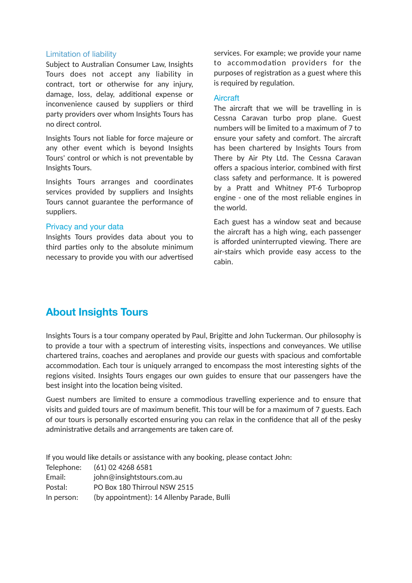#### Limitation of liability

Subject to Australian Consumer Law, Insights Tours does not accept any liability in contract, tort or otherwise for any injury, damage, loss, delay, additional expense or inconvenience caused by suppliers or third party providers over whom Insights Tours has no direct control.

Insights Tours not liable for force majeure or any other event which is beyond Insights Tours' control or which is not preventable by Insights Tours.

Insights Tours arranges and coordinates services provided by suppliers and Insights Tours cannot guarantee the performance of suppliers.

#### Privacy and your data

Insights Tours provides data about you to third parties only to the absolute minimum necessary to provide you with our advertised services. For example; we provide your name to accommodation providers for the purposes of registration as a guest where this is required by regulation.

#### **Aircraft**

The aircraft that we will be travelling in is Cessna Caravan turbo prop plane. Guest numbers will be limited to a maximum of 7 to ensure your safety and comfort. The aircraft has been chartered by Insights Tours from There by Air Pty Ltd. The Cessna Caravan offers a spacious interior, combined with first class safety and performance. It is powered by a Pratt and Whitney PT-6 Turboprop engine - one of the most reliable engines in the world.

Each guest has a window seat and because the aircraft has a high wing, each passenger is afforded uninterrupted viewing. There are air-stairs which provide easy access to the cabin.

## **About Insights Tours**

Insights Tours is a tour company operated by Paul, Brigitte and John Tuckerman. Our philosophy is to provide a tour with a spectrum of interesting visits, inspections and conveyances. We utilise chartered trains, coaches and aeroplanes and provide our guests with spacious and comfortable accommodation. Each tour is uniquely arranged to encompass the most interesting sights of the regions visited. Insights Tours engages our own guides to ensure that our passengers have the best insight into the location being visited.

Guest numbers are limited to ensure a commodious travelling experience and to ensure that visits and guided tours are of maximum benefit. This tour will be for a maximum of 7 guests. Each of our tours is personally escorted ensuring you can relax in the confidence that all of the pesky administrative details and arrangements are taken care of.

If you would like details or assistance with any booking, please contact John:

| Telephone: | (61) 02 4268 6581                          |
|------------|--------------------------------------------|
| Email:     | john@insightstours.com.au                  |
| Postal:    | PO Box 180 Thirroul NSW 2515               |
| In person: | (by appointment): 14 Allenby Parade, Bulli |